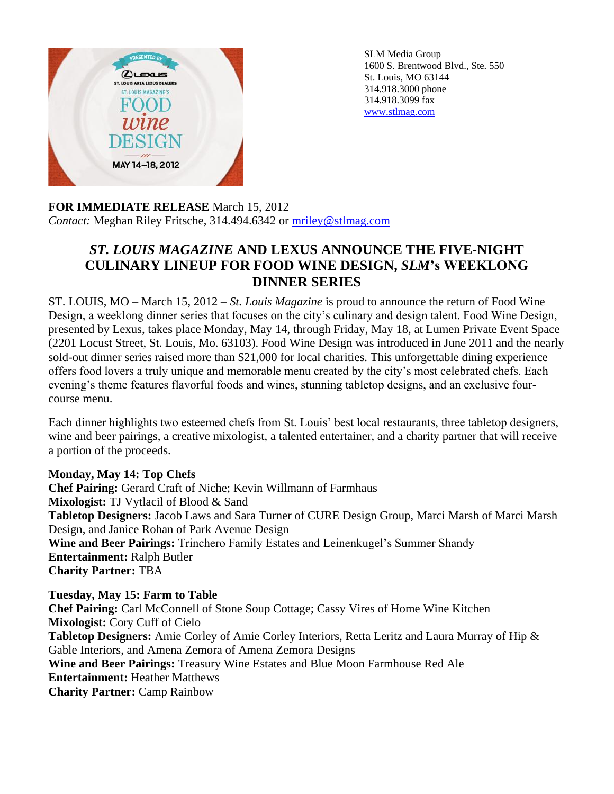

SLM Media Group 1600 S. Brentwood Blvd., Ste. 550 St. Louis, MO 63144 314.918.3000 phone 314.918.3099 fax [www.stlmag.com](http://www.stlmag.com/)

## **FOR IMMEDIATE RELEASE** March 15, 2012 *Contact:* Meghan Riley Fritsche, 314.494.6342 or [mriley@stlmag.com](mailto:mriley@stlmag.com)

## *ST. LOUIS MAGAZINE* **AND LEXUS ANNOUNCE THE FIVE-NIGHT CULINARY LINEUP FOR FOOD WINE DESIGN,** *SLM***'s WEEKLONG DINNER SERIES**

ST. LOUIS, MO – March 15, 2012 – *St. Louis Magazine* is proud to announce the return of Food Wine Design, a weeklong dinner series that focuses on the city's culinary and design talent. Food Wine Design, presented by Lexus, takes place Monday, May 14, through Friday, May 18, at Lumen Private Event Space (2201 Locust Street, St. Louis, Mo. 63103). Food Wine Design was introduced in June 2011 and the nearly sold-out dinner series raised more than \$21,000 for local charities. This unforgettable dining experience offers food lovers a truly unique and memorable menu created by the city's most celebrated chefs. Each evening's theme features flavorful foods and wines, stunning tabletop designs, and an exclusive fourcourse menu.

Each dinner highlights two esteemed chefs from St. Louis' best local restaurants, three tabletop designers, wine and beer pairings, a creative mixologist, a talented entertainer, and a charity partner that will receive a portion of the proceeds.

## **Monday, May 14: Top Chefs**

**Chef Pairing:** Gerard Craft of Niche; Kevin Willmann of Farmhaus **Mixologist:** TJ Vytlacil of Blood & Sand **Tabletop Designers:** Jacob Laws and Sara Turner of CURE Design Group, Marci Marsh of Marci Marsh Design, and Janice Rohan of Park Avenue Design **Wine and Beer Pairings:** Trinchero Family Estates and Leinenkugel's Summer Shandy **Entertainment:** Ralph Butler **Charity Partner:** TBA

**Tuesday, May 15: Farm to Table Chef Pairing:** Carl McConnell of Stone Soup Cottage; Cassy Vires of Home Wine Kitchen **Mixologist:** Cory Cuff of Cielo **Tabletop Designers:** Amie Corley of Amie Corley Interiors, Retta Leritz and Laura Murray of Hip & Gable Interiors, and Amena Zemora of Amena Zemora Designs **Wine and Beer Pairings:** Treasury Wine Estates and Blue Moon Farmhouse Red Ale **Entertainment:** Heather Matthews **Charity Partner:** Camp Rainbow